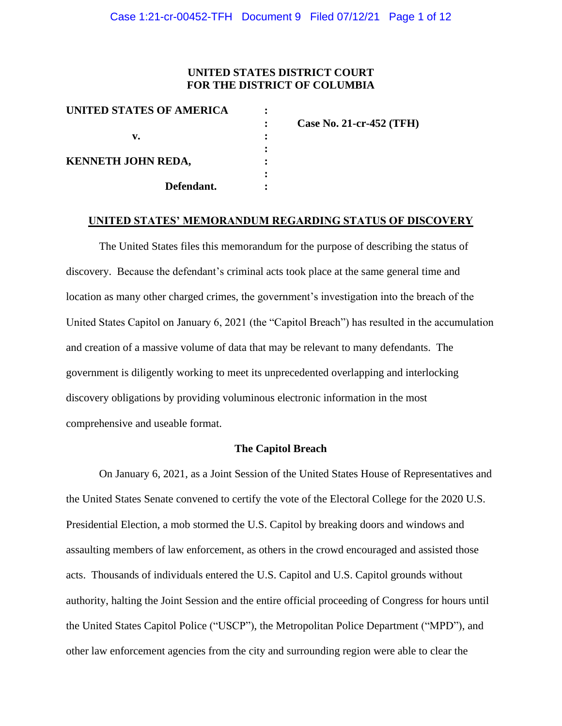## **UNITED STATES DISTRICT COURT FOR THE DISTRICT OF COLUMBIA**

| Case No. 21-cr-452 (TFH) |
|--------------------------|
|                          |
|                          |
|                          |
|                          |
|                          |
|                          |

#### **UNITED STATES' MEMORANDUM REGARDING STATUS OF DISCOVERY**

The United States files this memorandum for the purpose of describing the status of discovery. Because the defendant's criminal acts took place at the same general time and location as many other charged crimes, the government's investigation into the breach of the United States Capitol on January 6, 2021 (the "Capitol Breach") has resulted in the accumulation and creation of a massive volume of data that may be relevant to many defendants. The government is diligently working to meet its unprecedented overlapping and interlocking discovery obligations by providing voluminous electronic information in the most comprehensive and useable format.

## **The Capitol Breach**

On January 6, 2021, as a Joint Session of the United States House of Representatives and the United States Senate convened to certify the vote of the Electoral College for the 2020 U.S. Presidential Election, a mob stormed the U.S. Capitol by breaking doors and windows and assaulting members of law enforcement, as others in the crowd encouraged and assisted those acts. Thousands of individuals entered the U.S. Capitol and U.S. Capitol grounds without authority, halting the Joint Session and the entire official proceeding of Congress for hours until the United States Capitol Police ("USCP"), the Metropolitan Police Department ("MPD"), and other law enforcement agencies from the city and surrounding region were able to clear the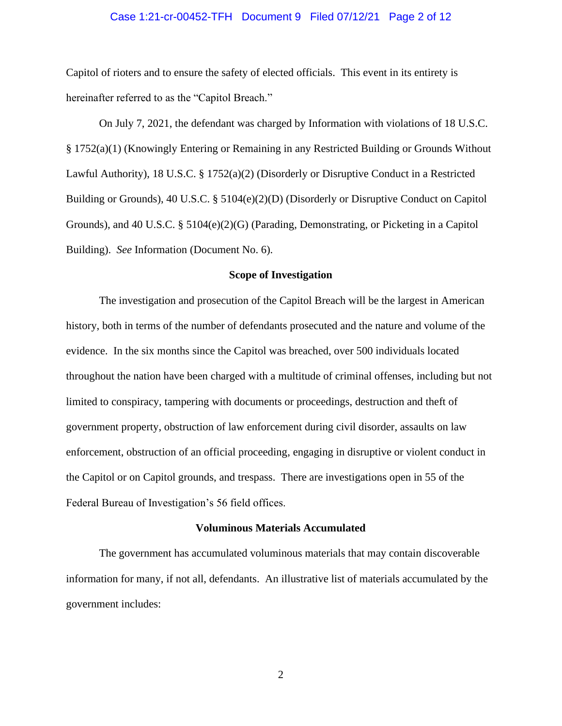#### Case 1:21-cr-00452-TFH Document 9 Filed 07/12/21 Page 2 of 12

Capitol of rioters and to ensure the safety of elected officials. This event in its entirety is hereinafter referred to as the "Capitol Breach."

On July 7, 2021, the defendant was charged by Information with violations of 18 U.S.C. § 1752(a)(1) (Knowingly Entering or Remaining in any Restricted Building or Grounds Without Lawful Authority), 18 U.S.C. § 1752(a)(2) (Disorderly or Disruptive Conduct in a Restricted Building or Grounds), 40 U.S.C. § 5104(e)(2)(D) (Disorderly or Disruptive Conduct on Capitol Grounds), and 40 U.S.C.  $\S 5104(e)(2)(G)$  (Parading, Demonstrating, or Picketing in a Capitol Building). *See* Information (Document No. 6).

#### **Scope of Investigation**

The investigation and prosecution of the Capitol Breach will be the largest in American history, both in terms of the number of defendants prosecuted and the nature and volume of the evidence. In the six months since the Capitol was breached, over 500 individuals located throughout the nation have been charged with a multitude of criminal offenses, including but not limited to conspiracy, tampering with documents or proceedings, destruction and theft of government property, obstruction of law enforcement during civil disorder, assaults on law enforcement, obstruction of an official proceeding, engaging in disruptive or violent conduct in the Capitol or on Capitol grounds, and trespass. There are investigations open in 55 of the Federal Bureau of Investigation's 56 field offices.

#### **Voluminous Materials Accumulated**

The government has accumulated voluminous materials that may contain discoverable information for many, if not all, defendants. An illustrative list of materials accumulated by the government includes: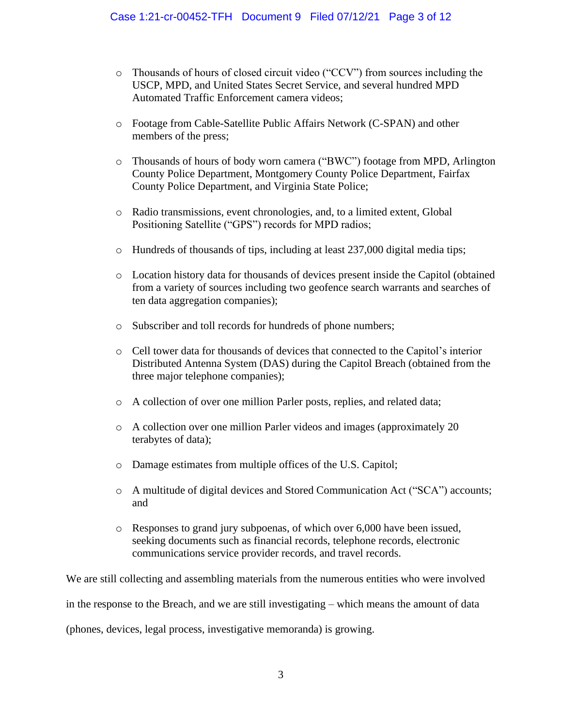- o Thousands of hours of closed circuit video ("CCV") from sources including the USCP, MPD, and United States Secret Service, and several hundred MPD Automated Traffic Enforcement camera videos;
- o Footage from Cable-Satellite Public Affairs Network (C-SPAN) and other members of the press;
- o Thousands of hours of body worn camera ("BWC") footage from MPD, Arlington County Police Department, Montgomery County Police Department, Fairfax County Police Department, and Virginia State Police;
- o Radio transmissions, event chronologies, and, to a limited extent, Global Positioning Satellite ("GPS") records for MPD radios;
- o Hundreds of thousands of tips, including at least 237,000 digital media tips;
- o Location history data for thousands of devices present inside the Capitol (obtained from a variety of sources including two geofence search warrants and searches of ten data aggregation companies);
- o Subscriber and toll records for hundreds of phone numbers;
- o Cell tower data for thousands of devices that connected to the Capitol's interior Distributed Antenna System (DAS) during the Capitol Breach (obtained from the three major telephone companies);
- o A collection of over one million Parler posts, replies, and related data;
- o A collection over one million Parler videos and images (approximately 20 terabytes of data);
- o Damage estimates from multiple offices of the U.S. Capitol;
- o A multitude of digital devices and Stored Communication Act ("SCA") accounts; and
- o Responses to grand jury subpoenas, of which over 6,000 have been issued, seeking documents such as financial records, telephone records, electronic communications service provider records, and travel records.

We are still collecting and assembling materials from the numerous entities who were involved in the response to the Breach, and we are still investigating – which means the amount of data (phones, devices, legal process, investigative memoranda) is growing.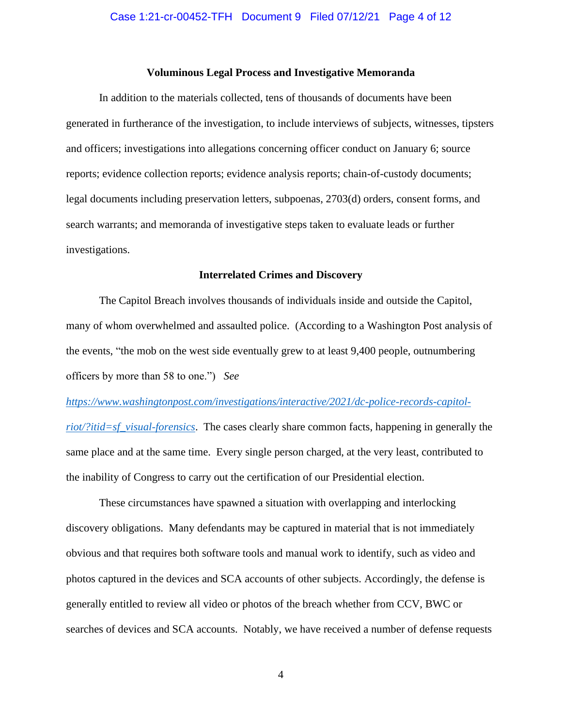#### **Voluminous Legal Process and Investigative Memoranda**

In addition to the materials collected, tens of thousands of documents have been generated in furtherance of the investigation, to include interviews of subjects, witnesses, tipsters and officers; investigations into allegations concerning officer conduct on January 6; source reports; evidence collection reports; evidence analysis reports; chain-of-custody documents; legal documents including preservation letters, subpoenas, 2703(d) orders, consent forms, and search warrants; and memoranda of investigative steps taken to evaluate leads or further investigations.

#### **Interrelated Crimes and Discovery**

The Capitol Breach involves thousands of individuals inside and outside the Capitol, many of whom overwhelmed and assaulted police. (According to a Washington Post analysis of the events, "the mob on the west side eventually grew to at least 9,400 people, outnumbering officers by more than 58 to one.") *See* 

#### *https://www.washingtonpost.com/investigations/interactive/2021/dc-police-records-capitol-*

*riot/?itid=sf\_visual-forensics*. The cases clearly share common facts, happening in generally the same place and at the same time. Every single person charged, at the very least, contributed to the inability of Congress to carry out the certification of our Presidential election.

These circumstances have spawned a situation with overlapping and interlocking discovery obligations. Many defendants may be captured in material that is not immediately obvious and that requires both software tools and manual work to identify, such as video and photos captured in the devices and SCA accounts of other subjects. Accordingly, the defense is generally entitled to review all video or photos of the breach whether from CCV, BWC or searches of devices and SCA accounts. Notably, we have received a number of defense requests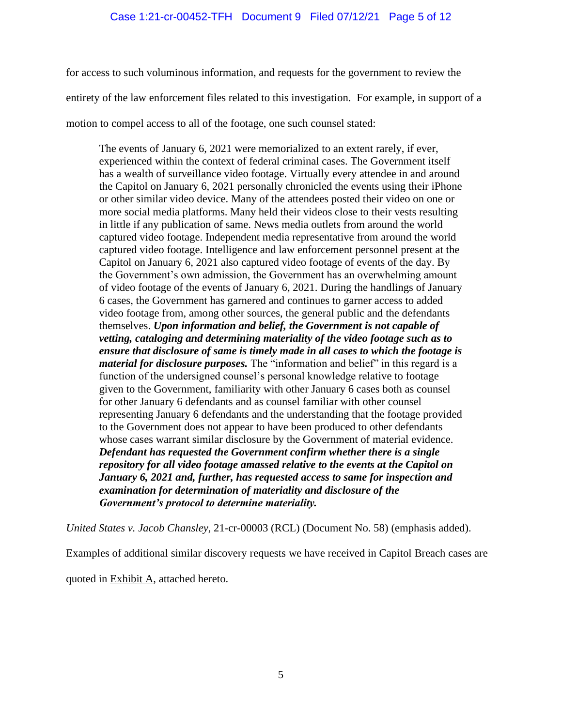for access to such voluminous information, and requests for the government to review the entirety of the law enforcement files related to this investigation. For example, in support of a

motion to compel access to all of the footage, one such counsel stated:

The events of January 6, 2021 were memorialized to an extent rarely, if ever, experienced within the context of federal criminal cases. The Government itself has a wealth of surveillance video footage. Virtually every attendee in and around the Capitol on January 6, 2021 personally chronicled the events using their iPhone or other similar video device. Many of the attendees posted their video on one or more social media platforms. Many held their videos close to their vests resulting in little if any publication of same. News media outlets from around the world captured video footage. Independent media representative from around the world captured video footage. Intelligence and law enforcement personnel present at the Capitol on January 6, 2021 also captured video footage of events of the day. By the Government's own admission, the Government has an overwhelming amount of video footage of the events of January 6, 2021. During the handlings of January 6 cases, the Government has garnered and continues to garner access to added video footage from, among other sources, the general public and the defendants themselves. *Upon information and belief, the Government is not capable of vetting, cataloging and determining materiality of the video footage such as to ensure that disclosure of same is timely made in all cases to which the footage is material for disclosure purposes.* The "information and belief" in this regard is a function of the undersigned counsel's personal knowledge relative to footage given to the Government, familiarity with other January 6 cases both as counsel for other January 6 defendants and as counsel familiar with other counsel representing January 6 defendants and the understanding that the footage provided to the Government does not appear to have been produced to other defendants whose cases warrant similar disclosure by the Government of material evidence. *Defendant has requested the Government confirm whether there is a single repository for all video footage amassed relative to the events at the Capitol on January 6, 2021 and, further, has requested access to same for inspection and examination for determination of materiality and disclosure of the Government's protocol to determine materiality.*

*United States v. Jacob Chansley*, 21-cr-00003 (RCL) (Document No. 58) (emphasis added).

Examples of additional similar discovery requests we have received in Capitol Breach cases are

quoted in **Exhibit A**, attached hereto.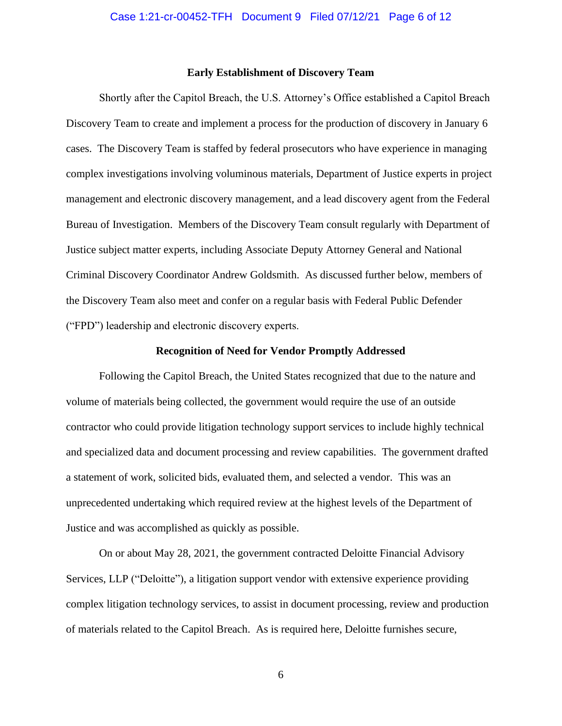#### **Early Establishment of Discovery Team**

Shortly after the Capitol Breach, the U.S. Attorney's Office established a Capitol Breach Discovery Team to create and implement a process for the production of discovery in January 6 cases. The Discovery Team is staffed by federal prosecutors who have experience in managing complex investigations involving voluminous materials, Department of Justice experts in project management and electronic discovery management, and a lead discovery agent from the Federal Bureau of Investigation. Members of the Discovery Team consult regularly with Department of Justice subject matter experts, including Associate Deputy Attorney General and National Criminal Discovery Coordinator Andrew Goldsmith. As discussed further below, members of the Discovery Team also meet and confer on a regular basis with Federal Public Defender ("FPD") leadership and electronic discovery experts.

## **Recognition of Need for Vendor Promptly Addressed**

Following the Capitol Breach, the United States recognized that due to the nature and volume of materials being collected, the government would require the use of an outside contractor who could provide litigation technology support services to include highly technical and specialized data and document processing and review capabilities. The government drafted a statement of work, solicited bids, evaluated them, and selected a vendor. This was an unprecedented undertaking which required review at the highest levels of the Department of Justice and was accomplished as quickly as possible.

On or about May 28, 2021, the government contracted Deloitte Financial Advisory Services, LLP ("Deloitte"), a litigation support vendor with extensive experience providing complex litigation technology services, to assist in document processing, review and production of materials related to the Capitol Breach. As is required here, Deloitte furnishes secure,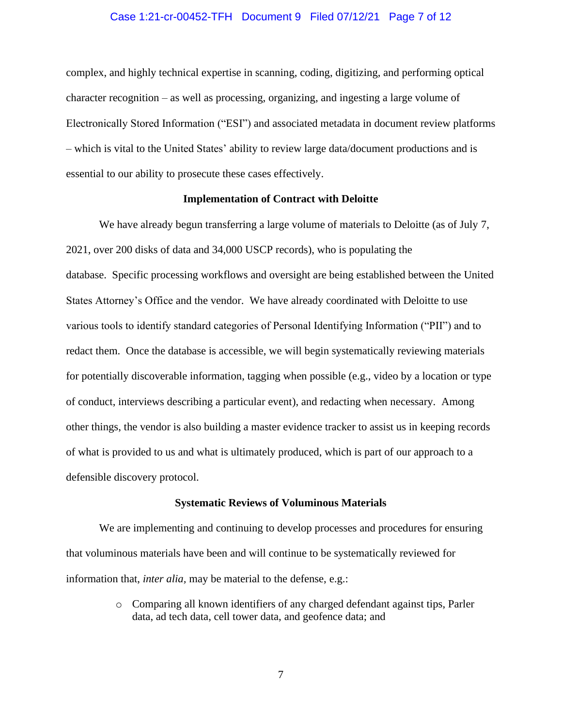#### Case 1:21-cr-00452-TFH Document 9 Filed 07/12/21 Page 7 of 12

complex, and highly technical expertise in scanning, coding, digitizing, and performing optical character recognition – as well as processing, organizing, and ingesting a large volume of Electronically Stored Information ("ESI") and associated metadata in document review platforms – which is vital to the United States' ability to review large data/document productions and is essential to our ability to prosecute these cases effectively.

### **Implementation of Contract with Deloitte**

We have already begun transferring a large volume of materials to Deloitte (as of July 7, 2021, over 200 disks of data and 34,000 USCP records), who is populating the database. Specific processing workflows and oversight are being established between the United States Attorney's Office and the vendor. We have already coordinated with Deloitte to use various tools to identify standard categories of Personal Identifying Information ("PII") and to redact them. Once the database is accessible, we will begin systematically reviewing materials for potentially discoverable information, tagging when possible (e.g., video by a location or type of conduct, interviews describing a particular event), and redacting when necessary. Among other things, the vendor is also building a master evidence tracker to assist us in keeping records of what is provided to us and what is ultimately produced, which is part of our approach to a defensible discovery protocol.

#### **Systematic Reviews of Voluminous Materials**

We are implementing and continuing to develop processes and procedures for ensuring that voluminous materials have been and will continue to be systematically reviewed for information that, *inter alia,* may be material to the defense, e.g.:

> o Comparing all known identifiers of any charged defendant against tips, Parler data, ad tech data, cell tower data, and geofence data; and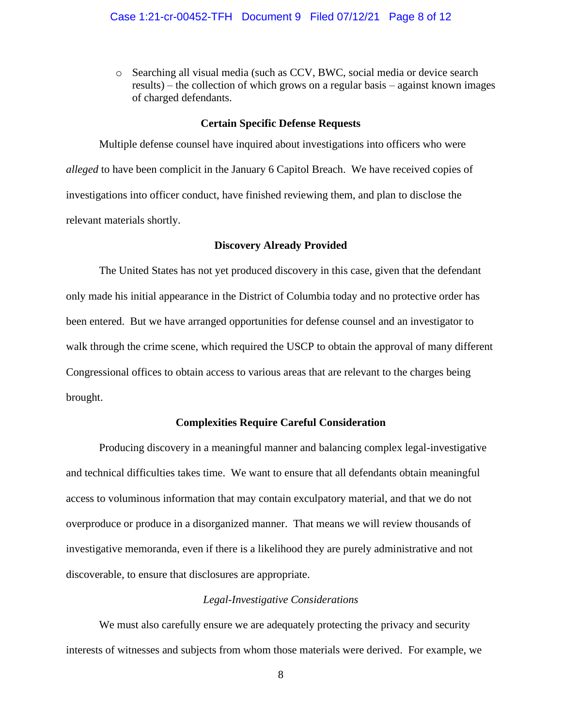o Searching all visual media (such as CCV, BWC, social media or device search results) – the collection of which grows on a regular basis – against known images of charged defendants.

#### **Certain Specific Defense Requests**

Multiple defense counsel have inquired about investigations into officers who were *alleged* to have been complicit in the January 6 Capitol Breach. We have received copies of investigations into officer conduct, have finished reviewing them, and plan to disclose the relevant materials shortly.

#### **Discovery Already Provided**

The United States has not yet produced discovery in this case, given that the defendant only made his initial appearance in the District of Columbia today and no protective order has been entered. But we have arranged opportunities for defense counsel and an investigator to walk through the crime scene, which required the USCP to obtain the approval of many different Congressional offices to obtain access to various areas that are relevant to the charges being brought.

## **Complexities Require Careful Consideration**

Producing discovery in a meaningful manner and balancing complex legal-investigative and technical difficulties takes time. We want to ensure that all defendants obtain meaningful access to voluminous information that may contain exculpatory material, and that we do not overproduce or produce in a disorganized manner. That means we will review thousands of investigative memoranda, even if there is a likelihood they are purely administrative and not discoverable, to ensure that disclosures are appropriate.

## *Legal-Investigative Considerations*

We must also carefully ensure we are adequately protecting the privacy and security interests of witnesses and subjects from whom those materials were derived. For example, we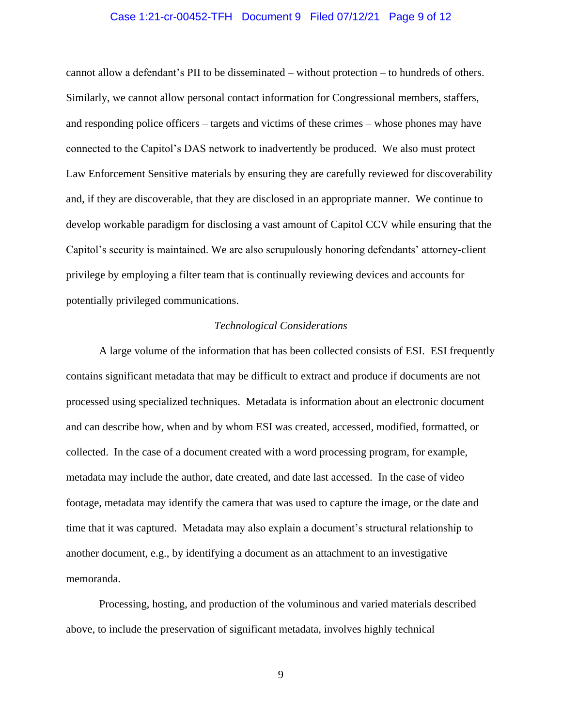### Case 1:21-cr-00452-TFH Document 9 Filed 07/12/21 Page 9 of 12

cannot allow a defendant's PII to be disseminated – without protection – to hundreds of others. Similarly, we cannot allow personal contact information for Congressional members, staffers, and responding police officers – targets and victims of these crimes – whose phones may have connected to the Capitol's DAS network to inadvertently be produced. We also must protect Law Enforcement Sensitive materials by ensuring they are carefully reviewed for discoverability and, if they are discoverable, that they are disclosed in an appropriate manner. We continue to develop workable paradigm for disclosing a vast amount of Capitol CCV while ensuring that the Capitol's security is maintained. We are also scrupulously honoring defendants' attorney-client privilege by employing a filter team that is continually reviewing devices and accounts for potentially privileged communications.

### *Technological Considerations*

A large volume of the information that has been collected consists of ESI. ESI frequently contains significant metadata that may be difficult to extract and produce if documents are not processed using specialized techniques. Metadata is information about an electronic document and can describe how, when and by whom ESI was created, accessed, modified, formatted, or collected. In the case of a document created with a word processing program, for example, metadata may include the author, date created, and date last accessed. In the case of video footage, metadata may identify the camera that was used to capture the image, or the date and time that it was captured. Metadata may also explain a document's structural relationship to another document, e.g., by identifying a document as an attachment to an investigative memoranda.

Processing, hosting, and production of the voluminous and varied materials described above, to include the preservation of significant metadata, involves highly technical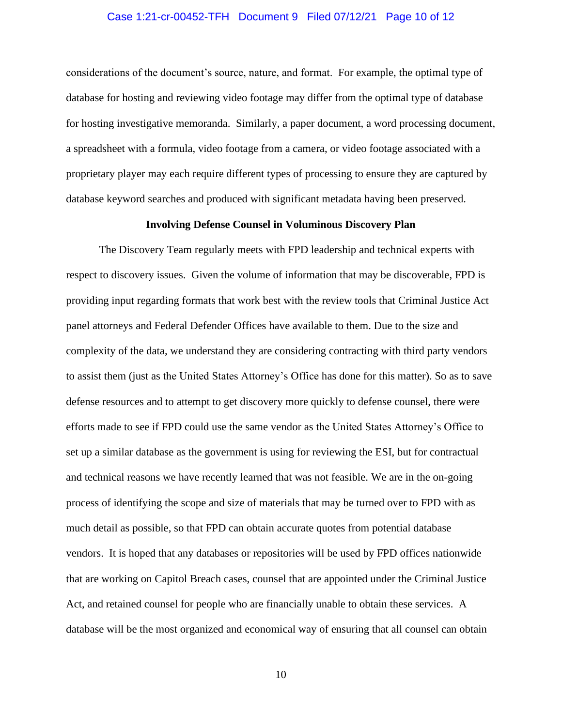## Case 1:21-cr-00452-TFH Document 9 Filed 07/12/21 Page 10 of 12

considerations of the document's source, nature, and format. For example, the optimal type of database for hosting and reviewing video footage may differ from the optimal type of database for hosting investigative memoranda. Similarly, a paper document, a word processing document, a spreadsheet with a formula, video footage from a camera, or video footage associated with a proprietary player may each require different types of processing to ensure they are captured by database keyword searches and produced with significant metadata having been preserved.

#### **Involving Defense Counsel in Voluminous Discovery Plan**

The Discovery Team regularly meets with FPD leadership and technical experts with respect to discovery issues. Given the volume of information that may be discoverable, FPD is providing input regarding formats that work best with the review tools that Criminal Justice Act panel attorneys and Federal Defender Offices have available to them. Due to the size and complexity of the data, we understand they are considering contracting with third party vendors to assist them (just as the United States Attorney's Office has done for this matter). So as to save defense resources and to attempt to get discovery more quickly to defense counsel, there were efforts made to see if FPD could use the same vendor as the United States Attorney's Office to set up a similar database as the government is using for reviewing the ESI, but for contractual and technical reasons we have recently learned that was not feasible. We are in the on-going process of identifying the scope and size of materials that may be turned over to FPD with as much detail as possible, so that FPD can obtain accurate quotes from potential database vendors. It is hoped that any databases or repositories will be used by FPD offices nationwide that are working on Capitol Breach cases, counsel that are appointed under the Criminal Justice Act, and retained counsel for people who are financially unable to obtain these services. A database will be the most organized and economical way of ensuring that all counsel can obtain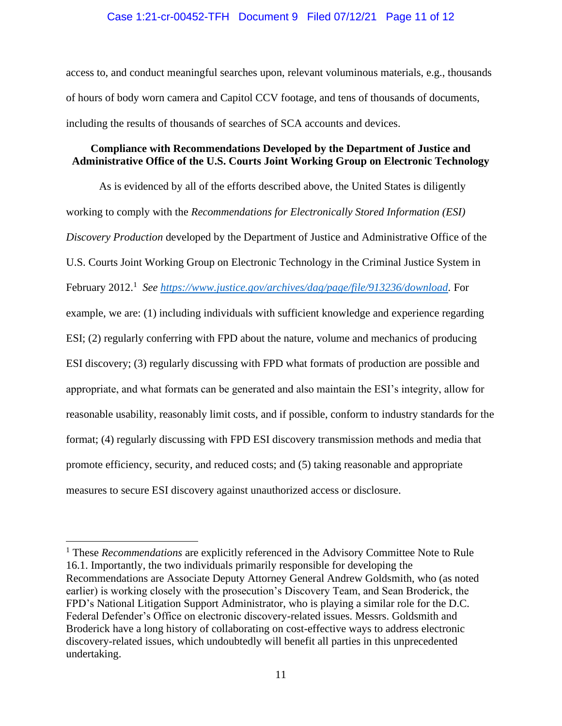## Case 1:21-cr-00452-TFH Document 9 Filed 07/12/21 Page 11 of 12

access to, and conduct meaningful searches upon, relevant voluminous materials, e.g., thousands of hours of body worn camera and Capitol CCV footage, and tens of thousands of documents, including the results of thousands of searches of SCA accounts and devices.

## **Compliance with Recommendations Developed by the Department of Justice and Administrative Office of the U.S. Courts Joint Working Group on Electronic Technology**

As is evidenced by all of the efforts described above, the United States is diligently working to comply with the *Recommendations for Electronically Stored Information (ESI) Discovery Production* developed by the Department of Justice and Administrative Office of the U.S. Courts Joint Working Group on Electronic Technology in the Criminal Justice System in February 2012.<sup>1</sup> See https://www.justice.gov/archives/dag/page/file/913236/download. For example, we are: (1) including individuals with sufficient knowledge and experience regarding ESI; (2) regularly conferring with FPD about the nature, volume and mechanics of producing ESI discovery; (3) regularly discussing with FPD what formats of production are possible and appropriate, and what formats can be generated and also maintain the ESI's integrity, allow for reasonable usability, reasonably limit costs, and if possible, conform to industry standards for the format; (4) regularly discussing with FPD ESI discovery transmission methods and media that promote efficiency, security, and reduced costs; and (5) taking reasonable and appropriate measures to secure ESI discovery against unauthorized access or disclosure.

<sup>&</sup>lt;sup>1</sup> These *Recommendations* are explicitly referenced in the Advisory Committee Note to Rule 16.1. Importantly, the two individuals primarily responsible for developing the Recommendations are Associate Deputy Attorney General Andrew Goldsmith, who (as noted earlier) is working closely with the prosecution's Discovery Team, and Sean Broderick, the FPD's National Litigation Support Administrator, who is playing a similar role for the D.C. Federal Defender's Office on electronic discovery-related issues. Messrs. Goldsmith and Broderick have a long history of collaborating on cost-effective ways to address electronic discovery-related issues, which undoubtedly will benefit all parties in this unprecedented undertaking.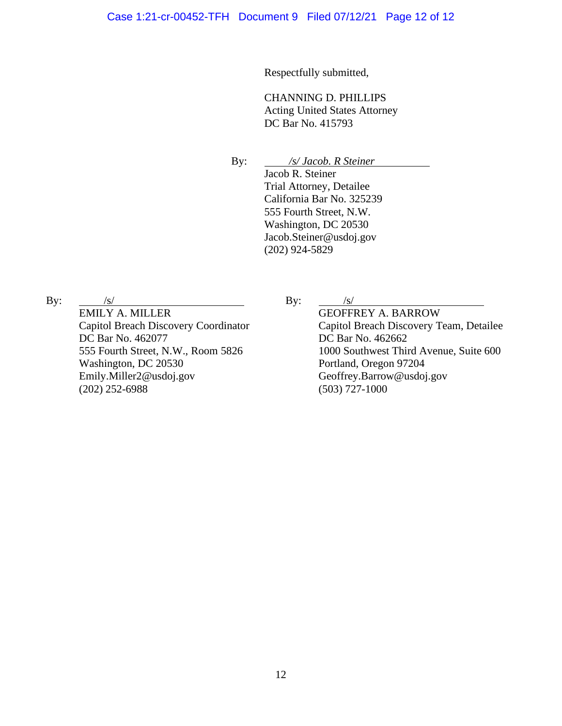Respectfully submitted,

CHANNING D. PHILLIPS Acting United States Attorney DC Bar No. 415793

By: */s/ Jacob. R Steiner* Jacob R. Steiner Trial Attorney, Detailee California Bar No. 325239 555 Fourth Street, N.W. Washington, DC 20530 Jacob.Steiner@usdoj.gov (202) 924-5829

By:  $/s/$ 

EMILY A. MILLER Capitol Breach Discovery Coordinator DC Bar No. 462077 555 Fourth Street, N.W., Room 5826 Washington, DC 20530 Emily.Miller2@usdoj.gov (202) 252-6988

By:  $/s/$ 

GEOFFREY A. BARROW Capitol Breach Discovery Team, Detailee DC Bar No. 462662 1000 Southwest Third Avenue, Suite 600 Portland, Oregon 97204 Geoffrey.Barrow@usdoj.gov (503) 727-1000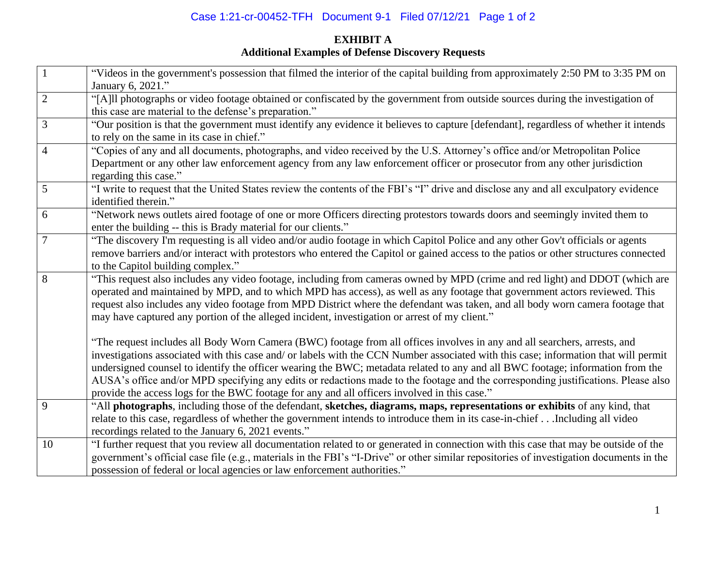# Case 1:21-cr-00452-TFH Document 9-1 Filed 07/12/21 Page 1 of 2

# **EXHIBIT A Additional Examples of Defense Discovery Requests**

|                | "Videos in the government's possession that filmed the interior of the capital building from approximately 2:50 PM to 3:35 PM on<br>January 6, 2021."                                                                                                                                                                                                                                                                                                                                                                                                                                                                                   |
|----------------|-----------------------------------------------------------------------------------------------------------------------------------------------------------------------------------------------------------------------------------------------------------------------------------------------------------------------------------------------------------------------------------------------------------------------------------------------------------------------------------------------------------------------------------------------------------------------------------------------------------------------------------------|
| $\overline{2}$ | "[A]ll photographs or video footage obtained or confiscated by the government from outside sources during the investigation of<br>this case are material to the defense's preparation."                                                                                                                                                                                                                                                                                                                                                                                                                                                 |
| 3              | "Our position is that the government must identify any evidence it believes to capture [defendant], regardless of whether it intends<br>to rely on the same in its case in chief."                                                                                                                                                                                                                                                                                                                                                                                                                                                      |
| $\overline{4}$ | "Copies of any and all documents, photographs, and video received by the U.S. Attorney's office and/or Metropolitan Police<br>Department or any other law enforcement agency from any law enforcement officer or prosecutor from any other jurisdiction<br>regarding this case."                                                                                                                                                                                                                                                                                                                                                        |
| 5              | "I write to request that the United States review the contents of the FBI's "I" drive and disclose any and all exculpatory evidence<br>identified therein."                                                                                                                                                                                                                                                                                                                                                                                                                                                                             |
| 6              | "Network news outlets aired footage of one or more Officers directing protestors towards doors and seemingly invited them to<br>enter the building -- this is Brady material for our clients."                                                                                                                                                                                                                                                                                                                                                                                                                                          |
| $\overline{7}$ | "The discovery I'm requesting is all video and/or audio footage in which Capitol Police and any other Gov't officials or agents<br>remove barriers and/or interact with protestors who entered the Capitol or gained access to the patios or other structures connected<br>to the Capitol building complex."                                                                                                                                                                                                                                                                                                                            |
| 8              | "This request also includes any video footage, including from cameras owned by MPD (crime and red light) and DDOT (which are<br>operated and maintained by MPD, and to which MPD has access), as well as any footage that government actors reviewed. This<br>request also includes any video footage from MPD District where the defendant was taken, and all body worn camera footage that<br>may have captured any portion of the alleged incident, investigation or arrest of my client."                                                                                                                                           |
|                | "The request includes all Body Worn Camera (BWC) footage from all offices involves in any and all searchers, arrests, and<br>investigations associated with this case and/ or labels with the CCN Number associated with this case; information that will permit<br>undersigned counsel to identify the officer wearing the BWC; metadata related to any and all BWC footage; information from the<br>AUSA's office and/or MPD specifying any edits or redactions made to the footage and the corresponding justifications. Please also<br>provide the access logs for the BWC footage for any and all officers involved in this case." |
| 9              | "All photographs, including those of the defendant, sketches, diagrams, maps, representations or exhibits of any kind, that<br>relate to this case, regardless of whether the government intends to introduce them in its case-in-chiefIncluding all video<br>recordings related to the January 6, 2021 events."                                                                                                                                                                                                                                                                                                                        |
| 10             | "I further request that you review all documentation related to or generated in connection with this case that may be outside of the<br>government's official case file (e.g., materials in the FBI's "I-Drive" or other similar repositories of investigation documents in the<br>possession of federal or local agencies or law enforcement authorities."                                                                                                                                                                                                                                                                             |